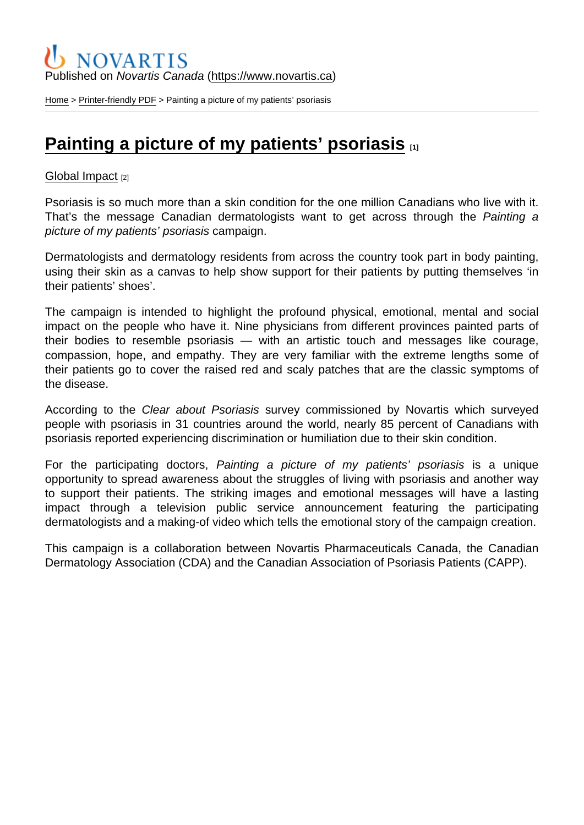### Published on Novartis Canada [\(https://www.novartis.ca\)](https://www.novartis.ca)

[Home](https://www.novartis.ca/en) > [Printer-friendly PDF](https://www.novartis.ca/en/printpdf) > Painting a picture of my patients' psoriasis

# [Painting a picture of my patients' psoriasis](https://www.novartis.ca/en/stories/global-impact/painting-picture-my-patients-psoriasis)  $\Box$

#### [Global Impact](https://www.novartis.ca/en/stories/global-impact) [2]

Psoriasis is so much more than a skin condition for the one million Canadians who live with it. That's the message Canadian dermatologists want to get across through the Painting a picture of my patients' psoriasis campaign.

Dermatologists and dermatology residents from across the country took part in body painting, using their skin as a canvas to help show support for their patients by putting themselves 'in their patients' shoes'.

The campaign is intended to highlight the profound physical, emotional, mental and social impact on the people who have it. Nine physicians from different provinces painted parts of their bodies to resemble psoriasis — with an artistic touch and messages like courage, compassion, hope, and empathy. They are very familiar with the extreme lengths some of their patients go to cover the raised red and scaly patches that are the classic symptoms of the disease.

According to the Clear about Psoriasis survey commissioned by Novartis which surveyed people with psoriasis in 31 countries around the world, nearly 85 percent of Canadians with psoriasis reported experiencing discrimination or humiliation due to their skin condition.

For the participating doctors, Painting a picture of my patients' psoriasis is a unique opportunity to spread awareness about the struggles of living with psoriasis and another way to support their patients. The striking images and emotional messages will have a lasting impact through a television public service announcement featuring the participating dermatologists and a making-of video which tells the emotional story of the campaign creation.

This campaign is a collaboration between Novartis Pharmaceuticals Canada, the Canadian Dermatology Association (CDA) and the Canadian Association of Psoriasis Patients (CAPP).